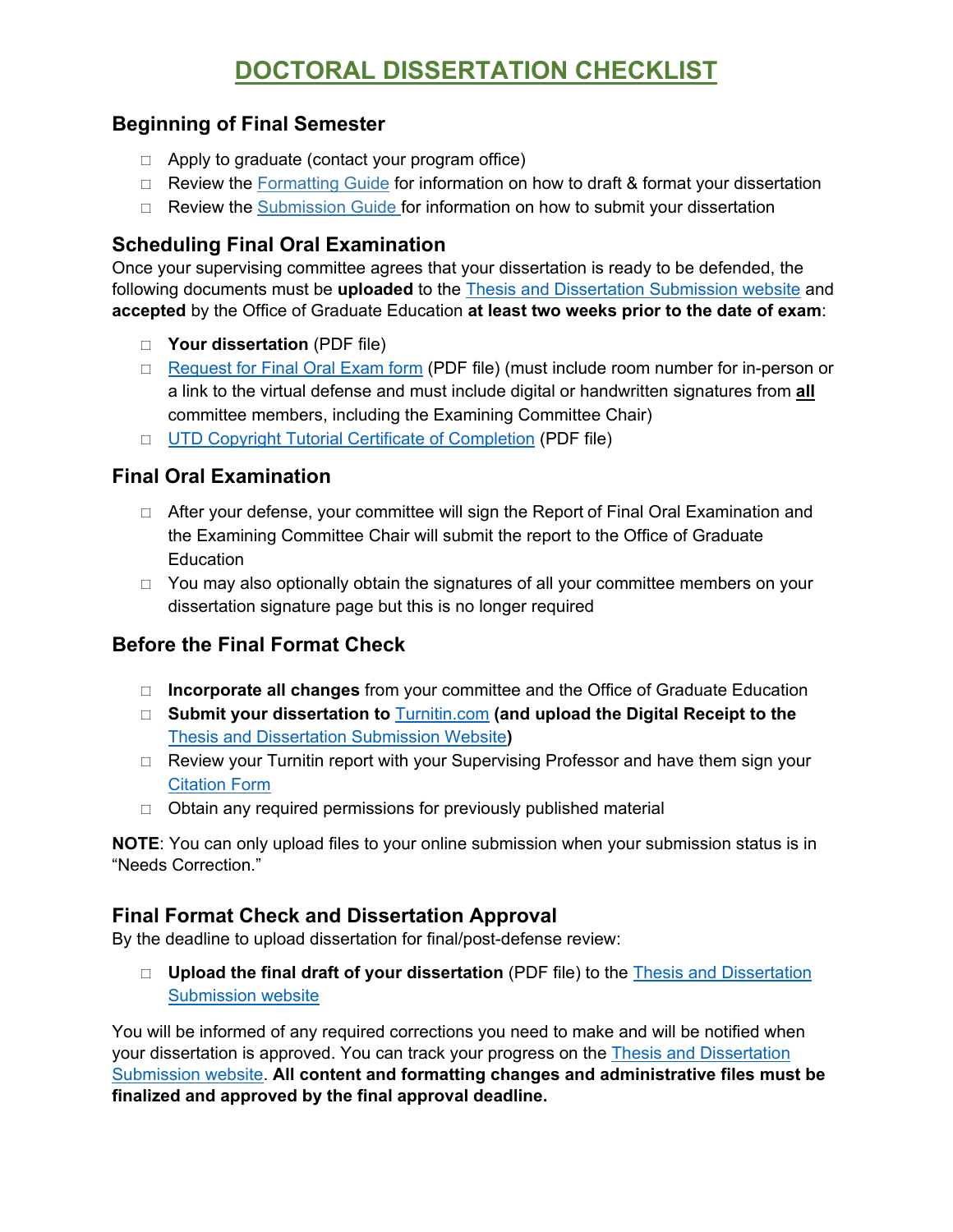# **DOCTORAL DISSERTATION CHECKLIST**

### **Beginning of Final Semester**

- $\Box$  Apply to graduate (contact your program office)
- $\Box$  Review the [Formatting Guide](http://www.utdallas.edu/ogs/docs/thesisdissertationguide_formatting.pdf) for information on how to draft & format your dissertation
- □ Review the [Submission Guide](http://www.utdallas.edu/ogs/docs/thesisdissertationguide_submission.pdf) for information on how to submit your dissertation

### **Scheduling Final Oral Examination**

Once your supervising committee agrees that your dissertation is ready to be defended, the following documents must be **uploaded** to the [Thesis and Dissertation Submission website](https://utd-etd.tdl.org/) and **accepted** by the Office of Graduate Education **at least two weeks prior to the date of exam**:

- **Your dissertation** (PDF file)
- □ [Request for Final Oral Exam](https://www.utdallas.edu/ogs/docs/PhDReqFinalOral.pdf) form (PDF file) (must include room number for in-person or a link to the virtual defense and must include digital or handwritten signatures from **all** committee members, including the Examining Committee Chair)
- □ [UTD Copyright Tutorial Certificate of Completion](https://graduate.utdallas.edu/docs/thesisdissertationguide_submission.pdf) (PDF file)

### **Final Oral Examination**

- □ After your defense, your committee will sign the Report of Final Oral Examination and the Examining Committee Chair will submit the report to the Office of Graduate **Education**
- $\Box$  You may also optionally obtain the signatures of all your committee members on your dissertation signature page but this is no longer required

## **Before the Final Format Check**

- **Incorporate all changes** from your committee and the Office of Graduate Education
- **Submit your dissertation to** [Turnitin.com](https://www.utdallas.edu/ogs/docs/thesisdissertationguide_submission.pdf) **(and upload the Digital Receipt to the**  [Thesis and Dissertation Submission Website](https://utd-etd.tdl.org/)**)**
- $\Box$  Review your Turnitin report with your Supervising Professor and have them sign your [Citation Form](https://www.utdallas.edu/ogs/docs/CitationForm.pdf)
- $\Box$  Obtain any required permissions for previously published material

**NOTE**: You can only upload files to your online submission when your submission status is in "Needs Correction."

## **Final Format Check and Dissertation Approval**

By the deadline to upload dissertation for final/post-defense review:

 **Upload the final draft of your dissertation** (PDF file) to the [Thesis and Dissertation](https://utd-etd.tdl.org/)  [Submission website](https://utd-etd.tdl.org/)

You will be informed of any required corrections you need to make and will be notified when your dissertation is approved. You can track your progress on the [Thesis and Dissertation](https://utd-etd.tdl.org/)  [Submission website.](https://utd-etd.tdl.org/) **All content and formatting changes and administrative files must be finalized and approved by the final approval deadline.**